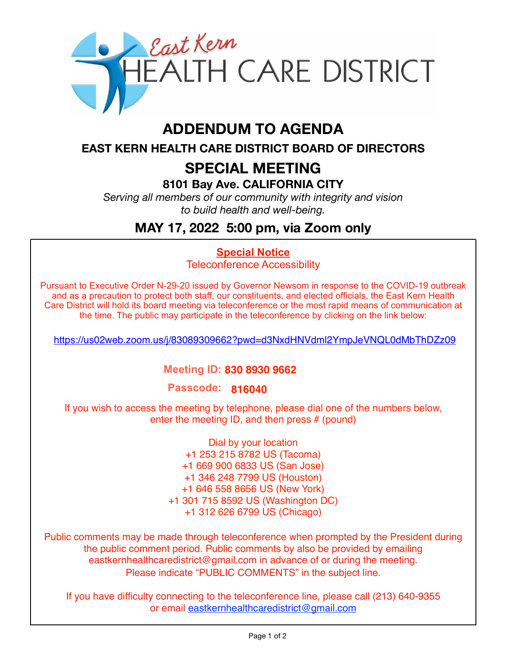

# **ADDENDUM TO AGENDA**

**EAST KERN HEALTH CARE DISTRICT BOARD OF DIRECTORS** 

# **SPECIAL MEETING**

**8101 Bay Ave. CALIFORNIA CITY**

*Serving all members of our community with integrity and vision to build health and well-being.*

## **MAY 17, 2022 5:00 pm, via Zoom only**

### **Special Notice**

Teleconference Accessibility

Pursuant to Executive Order N-29-20 issued by Governor Newsom in response to the COVID-19 outbreak and as a precaution to protect both staff, our constituents, and elected officials, the East Kern Health Care District will hold its board meeting via teleconference or the most rapid means of communication at the time. The public may participate in the teleconference by clicking on the link below:

https://us02web.zoom.us/j/83089309662?pwd=d3NxdHNVdml2YmpJeVNQL0dMbThDZz09

#### **Meeting ID: 830 8930 9662**

**Passcode: 816040**

If you wish to access the meeting by telephone, please dial one of the numbers below, enter the meeting ID, and then press # (pound)

> Dial by your location +1 253 215 8782 US (Tacoma) +1 669 900 6833 US (San Jose) +1 346 248 7799 US (Houston) +1 646 558 8656 US (New York) +1 301 715 8592 US (Washington DC) +1 312 626 6799 US (Chicago)

Public comments may be made through teleconference when prompted by the President during the public comment period. Public comments by also be provided by emailing eastkernhealthcaredistrict@gmail.com in advance of or during the meeting. Please indicate "PUBLIC COMMENTS" in the subject line.

If you have difficulty connecting to the teleconference line, please call (213) 640-9355 or email eastkernhealthcaredistrict@gmail.com